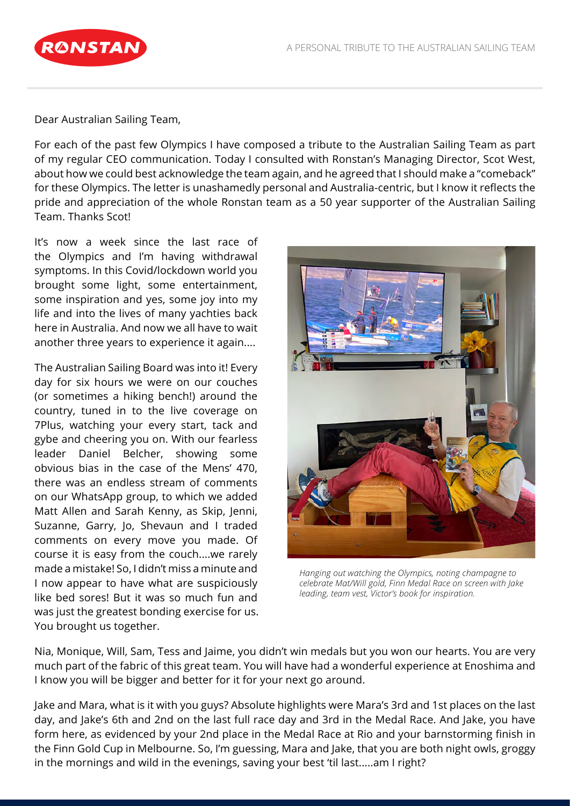

Dear Australian Sailing Team,

For each of the past few Olympics I have composed a tribute to the Australian Sailing Team as part of my regular CEO communication. Today I consulted with Ronstan's Managing Director, Scot West, about how we could best acknowledge the team again, and he agreed that I should make a "comeback" for these Olympics. The letter is unashamedly personal and Australia-centric, but I know it reflects the pride and appreciation of the whole Ronstan team as a 50 year supporter of the Australian Sailing Team. Thanks Scot!

It's now a week since the last race of the Olympics and I'm having withdrawal symptoms. In this Covid/lockdown world you brought some light, some entertainment, some inspiration and yes, some joy into my life and into the lives of many yachties back here in Australia. And now we all have to wait another three years to experience it again....

The Australian Sailing Board was into it! Every day for six hours we were on our couches (or sometimes a hiking bench!) around the country, tuned in to the live coverage on 7Plus, watching your every start, tack and gybe and cheering you on. With our fearless leader Daniel Belcher, showing some obvious bias in the case of the Mens' 470, there was an endless stream of comments on our WhatsApp group, to which we added Matt Allen and Sarah Kenny, as Skip, Jenni, Suzanne, Garry, Jo, Shevaun and I traded comments on every move you made. Of course it is easy from the couch....we rarely made a mistake! So, I didn't miss a minute and I now appear to have what are suspiciously like bed sores! But it was so much fun and was just the greatest bonding exercise for us. You brought us together.



*Hanging out watching the Olympics, noting champagne to celebrate Mat/Will gold, Finn Medal Race on screen with Jake leading, team vest, Victor's book for inspiration.*

Nia, Monique, Will, Sam, Tess and Jaime, you didn't win medals but you won our hearts. You are very much part of the fabric of this great team. You will have had a wonderful experience at Enoshima and I know you will be bigger and better for it for your next go around.

Jake and Mara, what is it with you guys? Absolute highlights were Mara's 3rd and 1st places on the last day, and Jake's 6th and 2nd on the last full race day and 3rd in the Medal Race. And Jake, you have form here, as evidenced by your 2nd place in the Medal Race at Rio and your barnstorming finish in the Finn Gold Cup in Melbourne. So, I'm guessing, Mara and Jake, that you are both night owls, groggy in the mornings and wild in the evenings, saving your best 'til last.....am I right?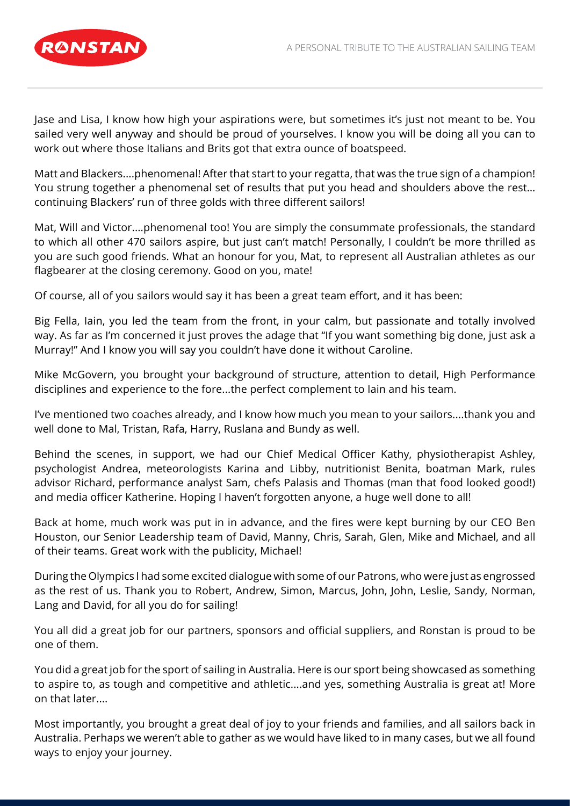

Jase and Lisa, I know how high your aspirations were, but sometimes it's just not meant to be. You sailed very well anyway and should be proud of yourselves. I know you will be doing all you can to work out where those Italians and Brits got that extra ounce of boatspeed.

Matt and Blackers....phenomenal! After that start to your regatta, that was the true sign of a champion! You strung together a phenomenal set of results that put you head and shoulders above the rest… continuing Blackers' run of three golds with three different sailors!

Mat, Will and Victor....phenomenal too! You are simply the consummate professionals, the standard to which all other 470 sailors aspire, but just can't match! Personally, I couldn't be more thrilled as you are such good friends. What an honour for you, Mat, to represent all Australian athletes as our flagbearer at the closing ceremony. Good on you, mate!

Of course, all of you sailors would say it has been a great team effort, and it has been:

Big Fella, Iain, you led the team from the front, in your calm, but passionate and totally involved way. As far as I'm concerned it just proves the adage that "If you want something big done, just ask a Murray!" And I know you will say you couldn't have done it without Caroline.

Mike McGovern, you brought your background of structure, attention to detail, High Performance disciplines and experience to the fore...the perfect complement to Iain and his team.

I've mentioned two coaches already, and I know how much you mean to your sailors....thank you and well done to Mal, Tristan, Rafa, Harry, Ruslana and Bundy as well.

Behind the scenes, in support, we had our Chief Medical Officer Kathy, physiotherapist Ashley, psychologist Andrea, meteorologists Karina and Libby, nutritionist Benita, boatman Mark, rules advisor Richard, performance analyst Sam, chefs Palasis and Thomas (man that food looked good!) and media officer Katherine. Hoping I haven't forgotten anyone, a huge well done to all!

Back at home, much work was put in in advance, and the fires were kept burning by our CEO Ben Houston, our Senior Leadership team of David, Manny, Chris, Sarah, Glen, Mike and Michael, and all of their teams. Great work with the publicity, Michael!

During the Olympics I had some excited dialogue with some of our Patrons, who were just as engrossed as the rest of us. Thank you to Robert, Andrew, Simon, Marcus, John, John, Leslie, Sandy, Norman, Lang and David, for all you do for sailing!

You all did a great job for our partners, sponsors and official suppliers, and Ronstan is proud to be one of them.

You did a great job for the sport of sailing in Australia. Here is our sport being showcased as something to aspire to, as tough and competitive and athletic....and yes, something Australia is great at! More on that later....

Most importantly, you brought a great deal of joy to your friends and families, and all sailors back in Australia. Perhaps we weren't able to gather as we would have liked to in many cases, but we all found ways to enjoy your journey.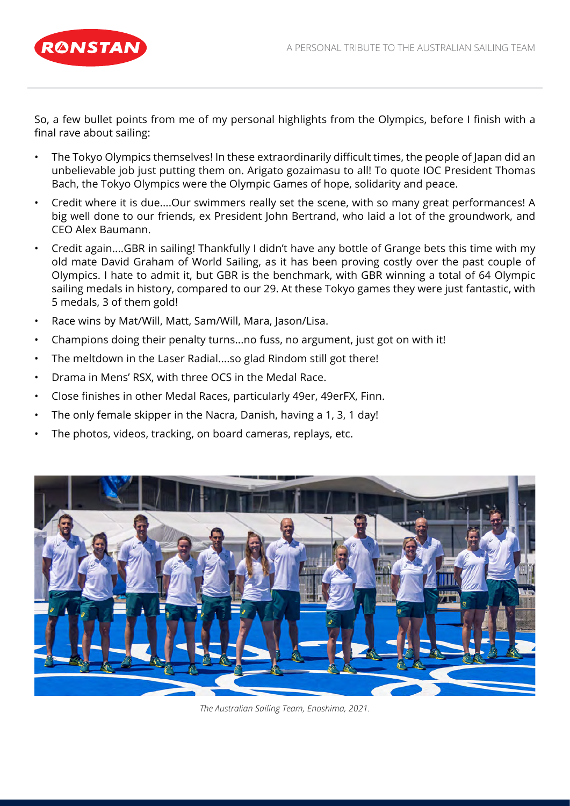

So, a few bullet points from me of my personal highlights from the Olympics, before I finish with a final rave about sailing:

- The Tokyo Olympics themselves! In these extraordinarily difficult times, the people of Japan did an unbelievable job just putting them on. Arigato gozaimasu to all! To quote IOC President Thomas Bach, the Tokyo Olympics were the Olympic Games of hope, solidarity and peace.
- Credit where it is due....Our swimmers really set the scene, with so many great performances! A big well done to our friends, ex President John Bertrand, who laid a lot of the groundwork, and CEO Alex Baumann.
- Credit again....GBR in sailing! Thankfully I didn't have any bottle of Grange bets this time with my old mate David Graham of World Sailing, as it has been proving costly over the past couple of Olympics. I hate to admit it, but GBR is the benchmark, with GBR winning a total of 64 Olympic sailing medals in history, compared to our 29. At these Tokyo games they were just fantastic, with 5 medals, 3 of them gold!
- Race wins by Mat/Will, Matt, Sam/Will, Mara, Jason/Lisa.
- Champions doing their penalty turns...no fuss, no argument, just got on with it!
- The meltdown in the Laser Radial....so glad Rindom still got there!
- Drama in Mens' RSX, with three OCS in the Medal Race.
- Close finishes in other Medal Races, particularly 49er, 49erFX, Finn.
- The only female skipper in the Nacra, Danish, having a 1, 3, 1 day!
- The photos, videos, tracking, on board cameras, replays, etc.



*The Australian Sailing Team, Enoshima, 2021.*